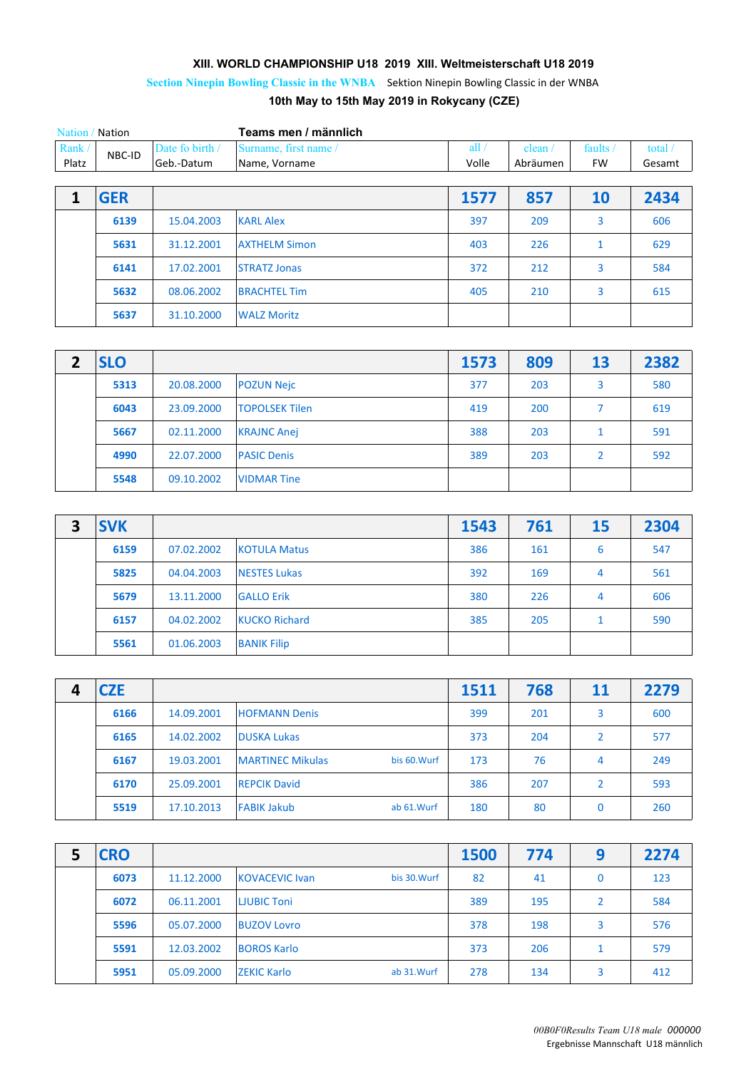## **XIII. WORLD CHAMPIONSHIP U18 2019 XIII. Weltmeisterschaft U18 2019**

**Section Ninepin Bowling Classic in the WNBA** Sektion Ninepin Bowling Classic in der WNBA

**10th May to 15th May 2019 in Rokycany (CZE)**

| Nation / Nation |            |                 | Teams men / männlich  |       |          |              |           |
|-----------------|------------|-----------------|-----------------------|-------|----------|--------------|-----------|
| Rank/           | NBC-ID     | Date fo birth / | Surname, first name / | all/  | clean /  | faults /     | total $/$ |
| Platz           |            | Geb.-Datum      | Name, Vorname         | Volle | Abräumen | <b>FW</b>    | Gesamt    |
|                 |            |                 |                       |       |          |              |           |
| 1               | <b>GER</b> |                 |                       | 1577  | 857      | 10           | 2434      |
|                 | 6139       | 15.04.2003      | <b>KARL Alex</b>      | 397   | 209      | 3            | 606       |
|                 | 5631       | 31.12.2001      | <b>AXTHELM Simon</b>  | 403   | 226      | $\mathbf{1}$ | 629       |
|                 | 6141       | 17.02.2001      | <b>STRATZ Jonas</b>   | 372   | 212      | 3            | 584       |
|                 | 5632       | 08.06.2002      | <b>BRACHTEL Tim</b>   | 405   | 210      | 3            | 615       |
|                 | 5637       | 31.10.2000      | <b>WALZ Moritz</b>    |       |          |              |           |

| <b>SLO</b> |            |                       | 1573 | 809 | 13             | 2382 |
|------------|------------|-----------------------|------|-----|----------------|------|
| 5313       | 20.08.2000 | <b>POZUN Nejc</b>     | 377  | 203 | 3              | 580  |
| 6043       | 23.09.2000 | <b>TOPOLSEK Tilen</b> | 419  | 200 | ⇁              | 619  |
| 5667       | 02.11.2000 | <b>KRAJNC Anej</b>    | 388  | 203 | 1              | 591  |
| 4990       | 22.07.2000 | <b>PASIC Denis</b>    | 389  | 203 | $\overline{2}$ | 592  |
| 5548       | 09.10.2002 | <b>VIDMAR Tine</b>    |      |     |                |      |

| 3 | <b>SVK</b> |            |                      | 1543 | 761 | <b>15</b> | 2304 |
|---|------------|------------|----------------------|------|-----|-----------|------|
|   | 6159       | 07.02.2002 | <b>KOTULA Matus</b>  | 386  | 161 | 6         | 547  |
|   | 5825       | 04.04.2003 | <b>NESTES Lukas</b>  | 392  | 169 | 4         | 561  |
|   | 5679       | 13.11.2000 | <b>GALLO Erik</b>    | 380  | 226 | 4         | 606  |
|   | 6157       | 04.02.2002 | <b>KUCKO Richard</b> | 385  | 205 | 1         | 590  |
|   | 5561       | 01.06.2003 | <b>BANIK Filip</b>   |      |     |           |      |

| 4 | <b>CZE</b> |            |                         |              | 1511 | 768 | 11             | 2279 |
|---|------------|------------|-------------------------|--------------|------|-----|----------------|------|
|   | 6166       | 14.09.2001 | <b>HOFMANN Denis</b>    |              | 399  | 201 | 3              | 600  |
|   | 6165       | 14.02.2002 | <b>DUSKA Lukas</b>      |              | 373  | 204 | $\overline{2}$ | 577  |
|   | 6167       | 19.03.2001 | <b>MARTINEC Mikulas</b> | bis 60. Wurf | 173  | 76  | 4              | 249  |
|   | 6170       | 25.09.2001 | <b>REPCIK David</b>     |              | 386  | 207 | $\overline{2}$ | 593  |
|   | 5519       | 17.10.2013 | <b>FABIK Jakub</b>      | ab 61. Wurf  | 180  | 80  | 0              | 260  |

| <b>CRO</b> |            |                       |              | 1500 | 774 | 9  | 2274 |
|------------|------------|-----------------------|--------------|------|-----|----|------|
| 6073       | 11.12.2000 | <b>KOVACEVIC Ivan</b> | bis 30. Wurf | 82   | 41  | 0  | 123  |
| 6072       | 06.11.2001 | <b>LJUBIC Toni</b>    |              | 389  | 195 | 2  | 584  |
| 5596       | 05.07.2000 | <b>BUZOV Lovro</b>    |              | 378  | 198 | 3  | 576  |
| 5591       | 12.03.2002 | <b>BOROS Karlo</b>    |              | 373  | 206 | 1. | 579  |
| 5951       | 05.09.2000 | <b>ZEKIC Karlo</b>    | ab 31. Wurf  | 278  | 134 | 3  | 412  |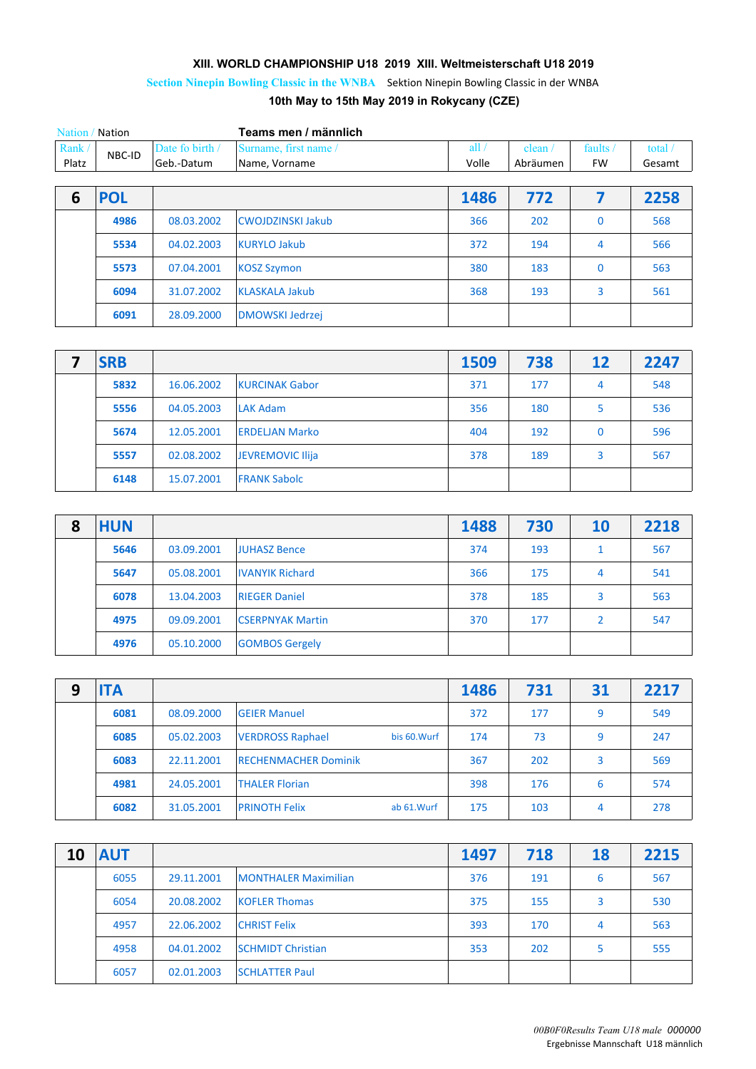## **XIII. WORLD CHAMPIONSHIP U18 2019 XIII. Weltmeisterschaft U18 2019**

**Section Ninepin Bowling Classic in the WNBA** Sektion Ninepin Bowling Classic in der WNBA

## **10th May to 15th May 2019 in Rokycany (CZE)**

| Nation / Nation |            |                 | Teams men / männlich     |       |          |           |        |
|-----------------|------------|-----------------|--------------------------|-------|----------|-----------|--------|
| Rank/           | NBC-ID     | Date fo birth / | Surname, first name /    | all.  | clean    | ، faults  | total  |
| Platz           |            | Geb.-Datum      | Name, Vorname            | Volle | Abräumen | <b>FW</b> | Gesamt |
|                 |            |                 |                          |       |          |           |        |
|                 | <b>POL</b> |                 |                          | 1486  | 772      |           | 2258   |
|                 | 4986       | 08.03.2002      | <b>CWOJDZINSKI Jakub</b> | 366   | 202      |           | 568    |

| 5534 | 04.02.2003 | 372                                                                                          | 194 | 566 |
|------|------------|----------------------------------------------------------------------------------------------|-----|-----|
| 5573 | 07.04.2001 | 380                                                                                          | 183 | 563 |
| 6094 | 31.07.2002 | 368                                                                                          | 193 | 561 |
| 6091 | 28.09.2000 |                                                                                              |     |     |
|      |            | <b>KURYLO Jakub</b><br><b>KOSZ Szymon</b><br><b>KLASKALA Jakub</b><br><b>DMOWSKI Jedrzej</b> |     |     |

| <b>SRB</b> |            |                       | 1509 | 738 | 12           | 2247 |
|------------|------------|-----------------------|------|-----|--------------|------|
| 5832       | 16.06.2002 | <b>KURCINAK Gabor</b> | 371  | 177 | 4            | 548  |
| 5556       | 04.05.2003 | <b>LAK Adam</b>       | 356  | 180 | 5            | 536  |
| 5674       | 12.05.2001 | <b>ERDELJAN Marko</b> | 404  | 192 | $\mathbf{0}$ | 596  |
| 5557       | 02.08.2002 | JEVREMOVIC Ilija      | 378  | 189 | 3            | 567  |
| 6148       | 15.07.2001 | <b>FRANK Sabolc</b>   |      |     |              |      |

| 8 | <b>HUN</b> |            |                         | 1488 | 730 | 10 | 2218 |
|---|------------|------------|-------------------------|------|-----|----|------|
|   | 5646       | 03.09.2001 | <b>JUHASZ Bence</b>     | 374  | 193 | 1  | 567  |
|   | 5647       | 05.08.2001 | <b>IVANYIK Richard</b>  | 366  | 175 | 4  | 541  |
|   | 6078       | 13.04.2003 | <b>RIEGER Daniel</b>    | 378  | 185 | 3  | 563  |
|   | 4975       | 09.09.2001 | <b>CSERPNYAK Martin</b> | 370  | 177 | 2  | 547  |
|   | 4976       | 05.10.2000 | <b>GOMBOS Gergely</b>   |      |     |    |      |

| 9 | <b>ITA</b> |            |                             |              | 1486 | 731 | 31 | 2217 |
|---|------------|------------|-----------------------------|--------------|------|-----|----|------|
|   | 6081       | 08.09.2000 | <b>GEIER Manuel</b>         |              | 372  | 177 | 9  | 549  |
|   | 6085       | 05.02.2003 | <b>VERDROSS Raphael</b>     | bis 60. Wurf | 174  | 73  | 9  | 247  |
|   | 6083       | 22.11.2001 | <b>RECHENMACHER Dominik</b> |              | 367  | 202 | 3  | 569  |
|   | 4981       | 24.05.2001 | <b>THALER Florian</b>       |              | 398  | 176 | 6  | 574  |
|   | 6082       | 31.05.2001 | <b>PRINOTH Felix</b>        | ab 61. Wurf  | 175  | 103 | 4  | 278  |

| 10 | <b>AUT</b> |            |                             | 1497 | 718 | 18 | 2215 |
|----|------------|------------|-----------------------------|------|-----|----|------|
|    | 6055       | 29.11.2001 | <b>MONTHALER Maximilian</b> | 376  | 191 | 6  | 567  |
|    | 6054       | 20.08.2002 | <b>KOFLER Thomas</b>        | 375  | 155 | 3  | 530  |
|    | 4957       | 22.06.2002 | <b>CHRIST Felix</b>         | 393  | 170 | 4  | 563  |
|    | 4958       | 04.01.2002 | <b>SCHMIDT Christian</b>    | 353  | 202 | 5  | 555  |
|    | 6057       | 02.01.2003 | <b>SCHLATTER Paul</b>       |      |     |    |      |